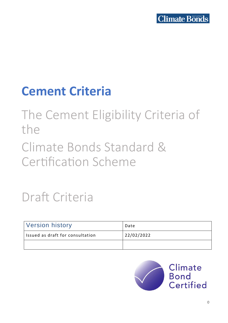# **Cement Criteria**

The Cement Eligibility Criteria of the Climate Bonds Standard & Certification Scheme

# Draft Criteria

| Version history                  | Date       |
|----------------------------------|------------|
| Issued as draft for consultation | 22/02/2022 |
|                                  |            |

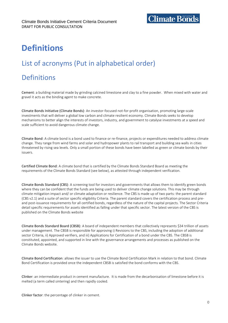## <span id="page-1-0"></span>**Definitions**

## List of acronyms (Put in alphabetical order)

## **Definitions**

Cement: a building material made by grinding calcined limestone and clay to a fine powder. When mixed with water and gravel it acts as the binding agent to make concrete.

Climate Bonds Initiative (Climate Bonds): An investor-focused not-for-profit organisation, promoting large-scale investments that will deliver a global low carbon and climate resilient economy. Climate Bonds seeks to develop mechanisms to better align the interests of investors, industry, and government to catalyse investments at a speed and scale sufficient to avoid dangerous climate change.

Climate Bond: A climate bond is a bond used to finance or re-finance, projects or expenditures needed to address climate change. They range from wind farms and solar and hydropower plants to rail transport and building sea walls in cities threatened by rising sea levels. Only a small portion of these bonds have been labelled as green or climate bonds by their issuers.

Certified Climate Bond: A climate bond that is certified by the Climate Bonds Standard Board as meeting the requirements of the Climate Bonds Standard (see below), as attested through independent verification.

Climate Bonds Standard (CBS): A screening tool for investors and governments that allows them to identify green bonds where they can be confident that the funds are being used to deliver climate change solutions. This may be through climate mitigation impact and/ or climate adaptation or resilience. The CBS is made up of two parts: the parent standard (CBS v2.1) and a suite of sector specific eligibility Criteria. The parent standard covers the certification process and preand post-issuance requirements for all certified bonds, regardless of the nature of the capital projects. The Sector Criteria detail specific requirements for assets identified as falling under that specific sector. The latest version of the CBS is published on the Climate Bonds website

Climate Bonds Standard Board (CBSB): A board of independent members that collectively represents \$34 trillion of assets under management. The CBSB is responsible for approving i) Revisions to the CBS, including the adoption of additional sector Criteria, ii) Approved verifiers, and iii) Applications for Certification of a bond under the CBS. The CBSB is constituted, appointed, and supported in line with the governance arrangements and processes as published on the Climate Bonds website.

Climate Bond Certification: allows the issuer to use the Climate Bond Certification Mark in relation to that bond. Climate Bond Certification is provided once the independent CBSB is satisfied the bond conforms with the CBS.

Clinker: an intermediate product in cement manufacture. It is made from the decarbonisation of limestone before it is melted (a term called sintering) and then rapidly cooled.

Clinker factor: the percentage of clinker in cement.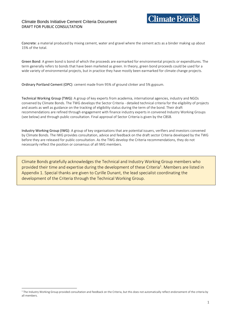Concrete: a material produced by mixing cement, water and gravel where the cement acts as a binder making up about 15% of the total.

Green Bond: A green bond is bond of which the proceeds are earmarked for environmental projects or expenditures. The term generally refers to bonds that have been marketed as green. In theory, green bond proceeds could be used for a wide variety of environmental projects, but in practice they have mostly been earmarked for climate change projects.

Ordinary Portland Cement (OPC): cement made from 95% of ground clinker and 5% gypsum.

Technical Working Group (TWG): A group of key experts from academia, international agencies, industry and NGOs convened by Climate Bonds. The TWG develops the Sector Criteria - detailed technical criteria for the eligibility of projects and assets as well as guidance on the tracking of eligibility status during the term of the bond. Their draft recommendations are refined through engagement with finance industry experts in convened Industry Working Groups (see below) and through public consultation. Final approval of Sector Criteria is given by the CBSB.

Industry Working Group (IWG): A group of key organisations that are potential issuers, verifiers and investors convened by Climate Bonds. The IWG provides consultation, advice and feedback on the draft sector Criteria developed by the TWG before they are released for public consultation. As the TWG develop the Criteria recommendations, they do not necessarily reflect the position or consensus of all IWG members.

Climate Bonds gratefully acknowledges the Technical and Industry Working Group members who provided their time and expertise during the development of these Criteria<sup>1</sup>. Members are listed in Appendix 1. Special thanks are given to Cyrille Dunant, the lead specialist coordinating the development of the Criteria through the Technical Working Group.

<sup>&</sup>lt;sup>1</sup> The Industry Working Group provided consultation and feedback on the Criteria, but this does not automatically reflect endorsement of the criteria by all members.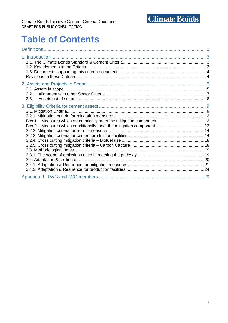

## **Table of Contents**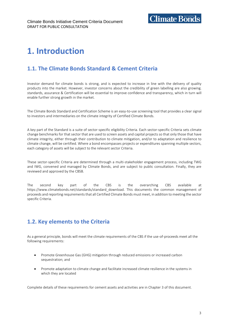## <span id="page-4-0"></span>**1. Introduction**

## <span id="page-4-1"></span>**1.1. The Climate Bonds Standard & Cement Criteria**

Investor demand for climate bonds is strong, and is expected to increase in line with the delivery of quality products into the market. However, investor concerns about the credibility of green labelling are also growing. standards, assurance & Certification will be essential to improve confidence and transparency, which in turn will enable further strong growth in the market.

The Climate Bonds Standard and Certification Scheme is an easy-to-use screening tool that provides a clear signal to investors and intermediaries on the climate integrity of Certified Climate Bonds.

A key part of the Standard is a suite of sector-specific eligibility Criteria. Each sector-specific Criteria sets climate change benchmarks for that sector that are used to screen assets and capital projects so that only those that have climate integrity, either through their contribution to climate mitigation, and/or to adaptation and resilience to climate change, will be certified. Where a bond encompasses projects or expenditures spanning multiple sectors, each category of assets will be subject to the relevant sector Criteria.

These sector-specific Criteria are determined through a multi-stakeholder engagement process, including TWG and IWG, convened and managed by Climate Bonds, and are subject to public consultation. Finally, they are reviewed and approved by the CBSB.

The second key part of the CBS is the overarching CBS available at [https://www.climatebonds.net/standards/standard\\_download.](https://www.climatebonds.net/standards/standard_download) This documents the common management of proceeds and reporting requirements that all Certified Climate Bonds must meet, in addition to meeting the sector specific Criteria.

## <span id="page-4-2"></span>**1.2. Key elements to the Criteria**

As a general principle, bonds will meet the climate requirements of the CBS if the use-of-proceeds meet all the following requirements:

- Promote Greenhouse Gas (GHG) mitigation through reduced emissions or increased carbon sequestration; and
- Promote adaptation to climate change and facilitate increased climate resilience in the systems in which they are located

Complete details of these requirements for cement assets and activities are in Chapter 3 of this document.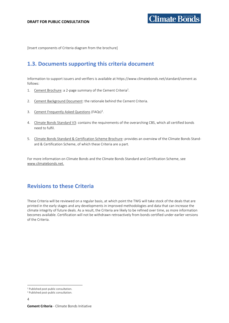[Insert components of Criteria diagram from the brochure]

### <span id="page-5-0"></span>**1.3. Documents supporting this criteria document**

Information to support issuers and verifiers is available at https://www.climatebonds.net/standard/cement as follows:

- 1. Cement Brochure: a 2-page summary of the Cement Criteria<sup>2</sup>.
- 2. Cement [Background Document:](https://www.climatebonds.net/files/files/PUBLIC%20CONSULTATION_Cement%20Background%20Paper_22_Feb_22.pdf) the rationale behind the Cement Criteria.
- 3. Cement Frequently Asked Questions (FAQs)<sup>3</sup>.
- 4. [Climate Bonds Standard V3:](https://www.climatebonds.net/climate-bonds-standard-v3) contains the requirements of the overarching CBS, which all certified bonds need to fulfil.
- 5. [Climate Bonds Standard & Certification Scheme Brochure:](https://www.climatebonds.net/files/files/Climate%20Bonds%20Certification%20Standard%20Scheme.pdf) provides an overview of the Climate Bonds Standard & Certification Scheme, of which these Criteria are a part.

For more information on Climate Bonds and the Climate Bonds Standard and Certification Scheme, see [www.climatebonds.net.](http://www.climatebonds.net/) 

### <span id="page-5-1"></span>**Revisions to these Criteria**

These Criteria will be reviewed on a regular basis, at which point the TWG will take stock of the deals that are printed in the early stages and any developments in improved methodologies and data that can increase the climate integrity of future deals. As a result, the Criteria are likely to be refined over time, as more information becomes available. Certification will not be withdrawn retroactively from bonds certified under earlier versions of the Criteria.

<sup>2</sup> Published post-public consultation.

<sup>&</sup>lt;sup>3</sup> Published post-public consultation.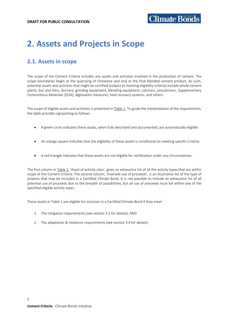## <span id="page-6-0"></span>**2. Assets and Projects in Scope**

## <span id="page-6-1"></span>**2.1. Assets in scope**

The scope of the Cement Criteria includes any assets and activities involved in the production of cement. The scope boundaries begin at the quarrying of limestone and end at the final blended cement product. As such, potential assets and activities that might be certified (subject to meeting eligibility criteria) include whole cement plants, but also kilns, burners, grinding equipment, blending equipment, calciners, precalciners, Supplementary Cementitious Materials (SCM), digitisation measures, heat recovery systems, and others.

The scope of eligible assets and activities is presented in Table 1. To guide the interpretation of the requirements, the table provides signposting as follows:

- A green circle indicates these assets, when fully described and documented, are automatically eligible.
- An orange square indicates that the eligibility of these assets is conditional on meeting specific Criteria.
- A red triangle indicates that these assets are not eligible for certification under any circumstances.

The first column in Table 1, 'Asset of activity class', gives an exhaustive list of all the activity types that are within scope of the Cement Criteria. The second column, 'Example use of proceeds', is an illustrative list of the type of projects that may be included in a Certified Climate Bond. It is not possible to include an exhaustive list of all potential use of proceeds due to the breadth of possibilities, but all use of proceeds must fall within one of the specified eligible activity types.

These assets in Table 1 are eligible for inclusion in a Certified Climate Bond if they meet:

- 1. The mitigation requirements (see section 3.2 for details); AND
- 2. The adaptation & resilience requirements (see section 3.4 for details).

5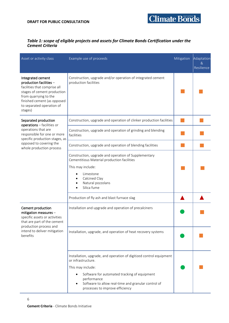

#### *Table 1: scope of eligible projects and assets for Climate Bonds Certification under the Cement Criteria*

| Asset or activity class                                                                                                                                                                                     | Example use of proceeds                                                                                                                                                                                                                                                 | Mitigation | Adaptation<br>&<br>Resilience |
|-------------------------------------------------------------------------------------------------------------------------------------------------------------------------------------------------------------|-------------------------------------------------------------------------------------------------------------------------------------------------------------------------------------------------------------------------------------------------------------------------|------------|-------------------------------|
| Integrated cement<br>production facilities -<br>facilities that comprise all<br>stages of cement production<br>from quarrying to the<br>finished cement (as opposed<br>to separated operation of<br>stages) | Construction, upgrade and/or operation of integrated cement<br>production facilities                                                                                                                                                                                    |            |                               |
| Separated production<br>operations - facilities or                                                                                                                                                          | Construction, upgrade and operation of clinker production facilities                                                                                                                                                                                                    |            |                               |
| operations that are<br>responsible for one or more<br>specific production stages, as                                                                                                                        | Construction, upgrade and operation of grinding and blending<br>facilities                                                                                                                                                                                              |            |                               |
| opposed to covering the<br>whole production process                                                                                                                                                         | Construction, upgrade and operation of blending facilities                                                                                                                                                                                                              |            |                               |
|                                                                                                                                                                                                             | Construction, upgrade and operation of Supplementary<br>Cementitious Material production facilities<br>This may include:<br>Limestone<br>Calcined Clay<br>Natural pozzolans<br>Silica fume<br>Production of fly ash and blast furnace slag                              |            |                               |
| Cement production<br>mitigation measures -<br>specific assets or activities<br>that are part of the cement                                                                                                  | Installation and upgrade and operation of precalciners                                                                                                                                                                                                                  |            |                               |
| production process and<br>intend to deliver mitigation<br>benefits                                                                                                                                          | Installation, upgrade, and operation of heat recovery systems                                                                                                                                                                                                           |            |                               |
|                                                                                                                                                                                                             | Installation, upgrade, and operation of digitized control equipment<br>or infrastructure.<br>This may include:<br>Software for automated tracking of equipment<br>performance<br>Software to allow real-time and granular control of<br>processes to improve efficiency |            |                               |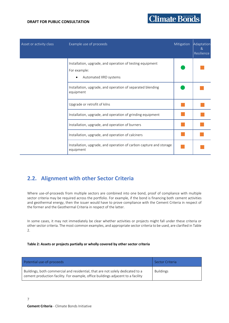

| Asset or activity class | Example use of proceeds                                                                            | Mitigation | Adaptation<br>8 <sub>k</sub><br>Resilience |
|-------------------------|----------------------------------------------------------------------------------------------------|------------|--------------------------------------------|
|                         | Installation, upgrade, and operation of testing equipment<br>For example:<br>Automated XRD systems |            |                                            |
|                         | Installation, upgrade, and operation of separated blending<br>equipment                            |            |                                            |
|                         | Upgrade or retrofit of kilns                                                                       |            |                                            |
|                         | Installation, upgrade, and operation of grinding equipment                                         |            |                                            |
|                         | Installation, upgrade, and operation of burners                                                    |            |                                            |
|                         | Installation, upgrade, and operation of calciners                                                  |            |                                            |
|                         | Installation, upgrade, and operation of carbon capture and storage<br>equipment                    |            |                                            |

## <span id="page-8-0"></span>**2.2. Alignment with other Sector Criteria**

Where use-of-proceeds from multiple sectors are combined into one bond, proof of compliance with multiple sector criteria may be required across the portfolio. For example, if the bond is financing both cement activities and geothermal energy, then the issuer would have to prove compliance with the Cement Criteria in respect of the former and the Geothermal Criteria in respect of the latter.

In some cases, it may not immediately be clear whether activities or projects might fall under these criteria or other sector criteria. The most common examples, and appropriate sector criteria to be used, are clarified in Table 2.

#### **Table 2: Assets or projects partially or wholly covered by other sector criteria**

| Potential use-of-proceeds                                                                                                                                          | Sector Criteria  |
|--------------------------------------------------------------------------------------------------------------------------------------------------------------------|------------------|
| Buildings, both commercial and residential, that are not solely dedicated to a<br>cement production facility. For example, office buildings adjacent to a facility | <b>Buildings</b> |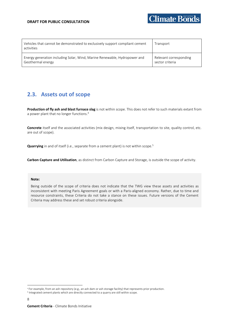| Vehicles that cannot be demonstrated to exclusively support compliant cement<br>activities | Transport              |
|--------------------------------------------------------------------------------------------|------------------------|
| Energy generation including Solar, Wind, Marine Renewable, Hydropower and                  | Relevant corresponding |
| Geothermal energy                                                                          | sector criteria        |

## <span id="page-9-0"></span>**2.3. Assets out of scope**

**Production of fly ash and blast furnace slag** is not within scope. This does not refer to such materials extant from a power plant that no longer functions. 4

**Concrete** itself and the associated activities (mix design, mixing itself, transportation to site, quality control, etc. are out of scope).

**Quarrying** in and of itself (i.e., separate from a cement plant) is not within scope.<sup>5</sup>

**Carbon Capture and Utilisation**, as distinct from Carbon Capture and Storage, is outside the scope of activity.

#### **Note:**

8

Being outside of the scope of criteria does not indicate that the TWG view these assets and activities as inconsistent with meeting Paris Agreement goals or with a Paris-aligned economy. Rather, due to time and resource constraints, these Criteria do not take a stance on these issues. Future versions of the Cement Criteria may address these and set robust criteria alongside.

<sup>4</sup> For example, from an ash repository (e.g., an ash dam or ash storage facility) that represents prior production.

<sup>&</sup>lt;sup>5</sup> Integrated cement plants which are directly connected to a quarry are still within scope.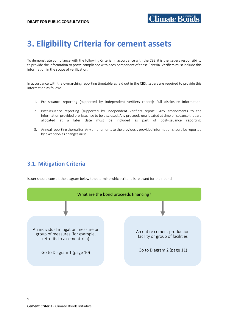## <span id="page-10-0"></span>**3. Eligibility Criteria for cement assets**

To demonstrate compliance with the following Criteria, in accordance with the CBS, it is the issuers responsibility to provide the information to prove compliance with each component of these Criteria. Verifiers must include this information in the scope of verification.

In accordance with the overarching reporting timetable as laid out in the CBS, issuers are required to provide this information as follows:

- 1. Pre-issuance reporting (supported by independent verifiers report): Full disclosure information.
- 2. Post-issuance reporting (supported by independent verifiers report): Any amendments to the information provided pre-issuance to be disclosed. Any proceeds unallocated at time of issuance that are allocated at a later date must be included as part of post-issuance reporting.
- 3. Annual reporting thereafter: Any amendments to the previously provided information should be reported by exception as changes arise.

### <span id="page-10-1"></span>**3.1. Mitigation Criteria**

Issuer should consult the diagram below to determine which criteria is relevant for their bond.

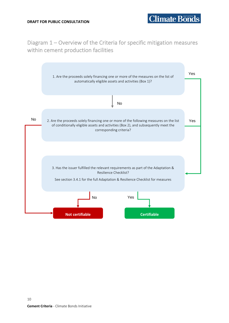Diagram 1 – Overview of the Criteria for specific mitigation measures within cement production facilities

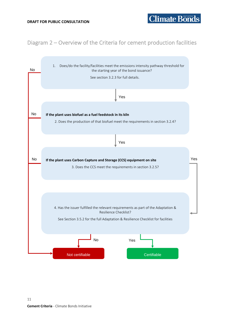Diagram 2 – Overview of the Criteria for cement production facilities

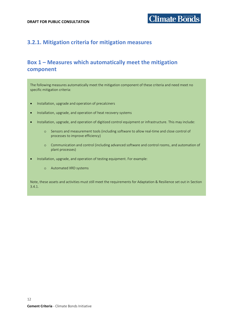### <span id="page-13-0"></span>**3.2.1. Mitigation criteria for mitigation measures**

### <span id="page-13-1"></span>**Box 1 – Measures which automatically meet the mitigation component**

The following measures automatically meet the mitigation component of these criteria and need meet no specific mitigation criteria:

- Installation, upgrade and operation of precalciners
- Installation, upgrade, and operation of heat recovery systems
- Installation, upgrade, and operation of digitized control equipment or infrastructure. This may include:
	- o Sensors and measurement tools (including software to allow real-time and close control of processes to improve efficiency)
	- o Communication and control (including advanced software and control rooms, and automation of plant processes)
- Installation, upgrade, and operation of testing equipment. For example:
	- o Automated XRD systems

Note, these assets and activities must still meet the requirements for Adaptation & Resilience set out in Section 3.4.1.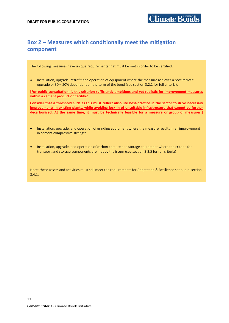## <span id="page-14-0"></span>**Box 2 – Measures which conditionally meet the mitigation component**

The following measures have unique requirements that must be met in order to be certified:

• Installation, upgrade, retrofit and operation of equipment where the measure achieves a post retrofit upgrade of 30 – 50% dependent on the term of the bond (see section 3.2.2 for full criteria).

**[For public consultation: is this criterion sufficiently ambitious and yet realistic for improvement measures within a cement production facility?** 

**Consider that a threshold such as this must reflect absolute best-practice in the sector to drive necessary improvements in existing plants, while avoiding lock-in of unsuitable infrastructure that cannot be further decarbonised. At the same time, it must be technically feasible for a measure or group of measures.]**

- Installation, upgrade, and operation of grinding equipment where the measure results in an improvement in cement compressive strength.
- Installation, upgrade, and operation of carbon capture and storage equipment where the criteria for transport and storage components are met by the issuer (see section 3.2.5 for full criteria)

Note: these assets and activities must still meet the requirements for Adaptation & Resilience set out in section 3.4.1.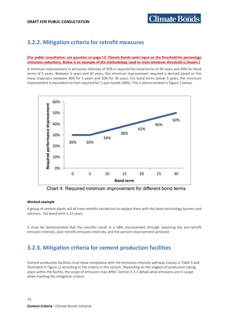## <span id="page-15-0"></span>**3.2.2. Mitigation criteria for retrofit measures**

#### **[For public consultation: see question on page 13. Climate Bonds seeks input on the threshold for percentage emissions reductions. Below is an example of the methodology used to meet whatever threshold is chosen.]**

A minimum improvement in emissions intensity of 50% is required for bond terms of 30 years and 30% for bond terms of 5 years. Between 5 years and 30 years, the minimum improvement required is derived based on the linear trajectory between 30% for 5 years and 50% for 30 years. For bond terms below 5 years, the minimum improvement is equivalent to that required for 5-year bonds (30%). This is demonstrated in Figure 2 below.



Chart 4: Required minimum improvement for different bond terms

#### **Worked example**

A group of cement plants will all have retrofits carried out to replace them with the latest technology burners and calciners. The bond term is 15 years.

It must be demonstrated that the retrofits result in a 38% improvement through reporting the pre-retrofit emission intensity, post-retrofit emissions intensity, and the percent improvement achieved.

## <span id="page-15-1"></span>**3.2.3. Mitigation criteria for cement production facilities**

Cement production facilities must show compliance with the emissions intensity pathway (values in Table 3 and illustrated in Figure 1) according to the criteria in this section. Depending on the stage(s) of production taking place within the facility, the scope of emissions may differ. Section 3.3.1 details what emissions are in scope when meeting the mitigation criteria.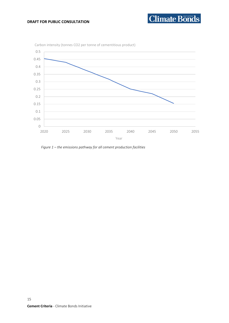

**Climate Bonds** 

Carbon intensity (tonnes CO2 per tonne of cementitious product)

*Figure 1 – the emissions pathway for all cement production facilities*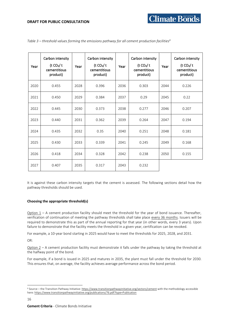| Year | Carbon intensity<br>(t CO <sub>2</sub> /t)<br>cementitious<br>product) | Year | Carbon intensity<br>(t CO <sub>2</sub> /t)<br>cementitious<br>product) | Year | Carbon intensity<br>(t CO <sub>2</sub> /t)<br>cementitious<br>product) | Year | Carbon intensity<br>(t CO <sub>2</sub> /t)<br>cementitious<br>product) |
|------|------------------------------------------------------------------------|------|------------------------------------------------------------------------|------|------------------------------------------------------------------------|------|------------------------------------------------------------------------|
| 2020 | 0.455                                                                  | 2028 | 0.396                                                                  | 2036 | 0.303                                                                  | 2044 | 0.226                                                                  |
| 2021 | 0.450                                                                  | 2029 | 0.384                                                                  | 2037 | 0.29                                                                   | 2045 | 0.22                                                                   |
| 2022 | 0.445                                                                  | 2030 | 0.373                                                                  | 2038 | 0.277                                                                  | 2046 | 0.207                                                                  |
| 2023 | 0.440                                                                  | 2031 | 0.362                                                                  | 2039 | 0.264                                                                  | 2047 | 0.194                                                                  |
| 2024 | 0.435                                                                  | 2032 | 0.35                                                                   | 2040 | 0.251                                                                  | 2048 | 0.181                                                                  |
| 2025 | 0.430                                                                  | 2033 | 0.339                                                                  | 2041 | 0.245                                                                  | 2049 | 0.168                                                                  |
| 2026 | 0.418                                                                  | 2034 | 0.328                                                                  | 2042 | 0.238                                                                  | 2050 | 0.155                                                                  |
| 2027 | 0.407                                                                  | 2035 | 0.317                                                                  | 2043 | 0.232                                                                  |      |                                                                        |

*Table 3 – threshold values forming the emissions pathway for all cement production facilities<sup>6</sup>*

It is against these carbon intensity targets that the cement is assessed. The following sections detail how the pathway thresholds should be used.

#### **Choosing the appropriate threshold(s)**

Option  $1 - A$  cement production facility should meet the threshold for the year of bond issuance. Thereafter, verification of continuation of meeting the pathway thresholds shall take place every 36 months. Issuers will be required to demonstrate this as part of the annual reporting for that year (in other words, every 3 years). Upon failure to demonstrate that the facility meets the threshold in a given year, certification can be revoked.

For example, a 10-year bond starting in 2025 would have to meet the thresholds for 2025, 2028, and 2031.

OR:

Option  $2 - A$  cement production facility must demonstrate it falls under the pathway by taking the threshold at the halfway point of the bond.

For example, if a bond is issued in 2025 and matures in 2035, the plant must fall under the threshold for 2030. This ensures that, on average, the facility achieves average performance across the bond period.

<sup>6</sup> Source – the Transition Pathway Initiative[: https://www.transitionpathwayinitiative.org/sectors/cement](https://www.transitionpathwayinitiative.org/sectors/cement) with the methodology accessible here[: https://www.transitionpathwayinitiative.org/publications/76.pdf?type=Publication](https://www.transitionpathwayinitiative.org/publications/76.pdf?type=Publication)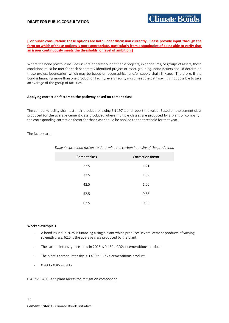

#### **[For public consultation: these options are both under discussion currently. Please provide input through the form on which of these options is more appropriate, particularly from a standpoint of being able to verify that an issuer continuously meets the thresholds, or level of ambition.]**

Where the bond portfolio includes several separately identifiable projects, expenditures, or groups of assets, these conditions must be met for each separately identified project or asset grouping. Bond issuers should determine these project boundaries, which may be based on geographical and/or supply chain linkages. Therefore, if the bond is financing more than one production facility, every facility must meet the pathway. It is not possible to take an average of the group of facilities.

#### **Applying correction factors to the pathway based on cement class**

The company/facility shall test their product following EN 197-1 and report the value. Based on the cement class produced (or the average cement class produced where multiple classes are produced by a plant or company), the corresponding correction factor for that class should be applied to the threshold for that year.

The factors are:

| Cement class | <b>Correction factor</b> |
|--------------|--------------------------|
| 22.5         | 1.21                     |
| 32.5         | 1.09                     |
| 42.5         | 1.00                     |
| 52.5         | 0.88                     |
| 62.5         | 0.85                     |

*Table 4: correction factors to determine the carbon intensity of the production*

#### Worked example 1

- A bond issued in 2025 is financing a single plant which produces several cement products of varying strength class. 62.5 is the average class produced by the plant.
- The carbon intensity threshold in 2025 is 0.430 t CO2/ t cementitious product.
- The plant's carbon intensity is 0.490 t CO2 / t cementitious product.
- $0.490 \times 0.85 = 0.417$

#### 0.417 < 0.430 - the plant meets the mitigation component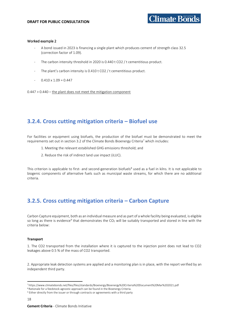#### Worked example 2

- A bond issued in 2023 is financing a single plant which produces cement of strength class 32.5 (correction factor of 1.09).
- The carbon intensity threshold in 2020 is 0.440 t CO2 / t cementitious product.
- The plant's carbon intensity is 0.410 t CO2 / t cementitious product.
- $-$  0.410 x 1.09 = 0.447

0.447 > 0.440 – the plant does not meet the mitigation component

### <span id="page-19-0"></span>**3.2.4. Cross cutting mitigation criteria – Biofuel use**

For facilities or equipment using biofuels, the production of the biofuel must be demonstrated to meet the requirements set out in section 3.2 of the Climate Bonds Bioenergy Criteria<sup>7</sup> which includes:

- 1. Meeting the relevant established GHG emissions threshold; and
- 2. Reduce the risk of indirect land use impact (iLUC).

This criterion is applicable to first- and second-generation biofuels<sup>8</sup> used as a fuel in kilns. It is not applicable to biogenic components of alternative fuels such as municipal waste streams, for which there are no additional criteria.

### <span id="page-19-1"></span>**3.2.5. Cross cutting mitigation criteria – Carbon Capture**

Carbon Capture equipment, both as an individual measure and as part of a whole facility being evaluated, is eligible so long as there is evidence<sup>9</sup> that demonstrates the CO<sub>2</sub> will be suitably transported and stored in line with the criteria below:

#### **Transport**

1. The CO2 transported from the installation where it is captured to the injection point does not lead to CO2 leakages above 0.5 % of the mass of CO2 transported.

2. Appropriate leak detection systems are applied and a monitoring plan is in place, with the report verified by an independent third party.

<sup>7</sup> https://www.climatebonds.net/files/files/standards/Bioenergy/Bioenergy%20Criteria%20Document%20Mar%202021.pdf

<sup>8</sup> Rationale for a feedstock-agnostic approach can be found in the Bioenergy Criteria.

<sup>9</sup> Either directly from the issuer or through contracts or agreements with a third party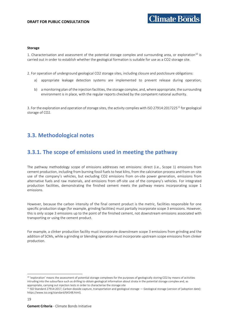#### **Storage**

1. Characterisation and assessment of the potential storage complex and surrounding area, or exploration<sup>10</sup> is carried out in order to establish whether the geological formation is suitable for use as a CO2 storage site.

2. For operation of underground geological CO2 storage sites, including closure and postclosure obligations:

- a) appropriate leakage detection systems are implemented to prevent release during operation;
- b) a monitoring plan of the injection facilities, the storage complex, and, where appropriate, the surrounding environment is in place, with the regular reports checked by the competent national authority.

3. For the exploration and operation of storage sites, the activity complies with ISO 27914:2017225<sup>11</sup> for geological storage of CO2.

### <span id="page-20-0"></span>**3.3. Methodological notes**

### <span id="page-20-1"></span>**3.3.1. The scope of emissions used in meeting the pathway**

The pathway methodology scope of emissions addresses net emissions: direct (i.e., Scope 1) emissions from cement production, including from burning fossil fuels to heat kilns, from the calcination process and from on-site use of the company's vehicles, but excluding CO2 emissions from on-site power generation, emissions from alternative fuels and raw materials, and emissions from off-site use of the company's vehicles. For integrated production facilities, demonstrating the finished cement meets the pathway means incorporating scope 1 emissions.

However, because the carbon intensity of the final cement product is the metric, facilities responsible for one specific production stage (for example, grinding facilities) must partially incorporate scope 3 emissions. However, this is only scope 3 emissions up to the point of the finished cement, not downstream emissions associated with transporting or using the cement product.

For example, a clinker production facility must incorporate downstream scope 3 emissions from grinding and the addition of SCMs, while a grinding or blending operation must incorporate upstream scope emissions from clinker production.

<sup>&</sup>lt;sup>10</sup> 'exploration' means the assessment of potential storage complexes for the purposes of geologically storing CO2 by means of activities intruding into the subsurface such as drilling to obtain geological information about strata in the potential storage complex and, as appropriate, carrying out injection tests in order to characterise the storage site

<sup>&</sup>lt;sup>11</sup> ISO Standard 27914:2017, Carbon dioxide capture, transportation and geological storage — Geological storage (version of [adoption date]: https://www.iso.org/standard/64148.html).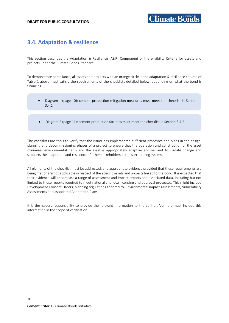## <span id="page-21-0"></span>**3.4. Adaptation & resilience**

This section describes the Adaptation & Resilience (A&R) Component of the eligibility Criteria for assets and projects under the Climate Bonds Standard.

To demonstrate compliance, all assets and projects with an orange circle in the adaptation & resilience column of Table 1 above must satisfy the requirements of the checklists detailed below, depending on what the bond is financing:

- Diagram 1 (page 10): cement production mitigation measures must meet the checklist in Section 3.4.1
- Diagram 2 (page 11): cement production facilities must meet the checklist in Section 3.4.2

The checklists are tools to verify that the issuer has implemented sufficient processes and plans in the design, planning and decommissioning phases of a project to ensure that the operation and construction of the asset minimises environmental harm and the asset is appropriately adaptive and resilient to climate change and supports the adaptation and resilience of other stakeholders in the surrounding system.

All elements of the checklist must be addressed, and appropriate evidence provided that these requirements are being met or are not applicable in respect of the specific assets and projects linked to the bond. It is expected that their evidence will encompass a range of assessment and impact reports and associated data, including but not limited to those reports required to meet national and local licensing and approval processes. This might include Development Consent Orders, planning regulations adhered to, Environmental Impact Assessments, Vulnerability Assessments and associated Adaptation Plans.

It is the issuers responsibility to provide the relevant information to the verifier. Verifiers must include this information in the scope of verification.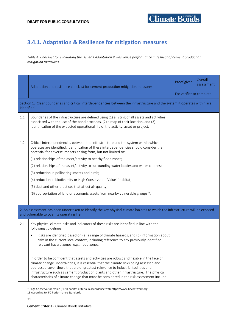## <span id="page-22-0"></span>**3.4.1. Adaptation & Resilience for mitigation measures**

*Table 4: Checklist for evaluating the issuer's Adaptation & Resilience performance in respect of cement production mitigation measures*

|             | Adaptation and resilience checklist for cement production mitigation measures                                                                                                                                                                                                                                                                                                                                                                                     | Proof given              | Overall<br>assessment |  |
|-------------|-------------------------------------------------------------------------------------------------------------------------------------------------------------------------------------------------------------------------------------------------------------------------------------------------------------------------------------------------------------------------------------------------------------------------------------------------------------------|--------------------------|-----------------------|--|
|             |                                                                                                                                                                                                                                                                                                                                                                                                                                                                   | For verifier to complete |                       |  |
| identified. | Section 1: Clear boundaries and critical interdependencies between the infrastructure and the system it operates within are                                                                                                                                                                                                                                                                                                                                       |                          |                       |  |
| 1.1         | Boundaries of the infrastructure are defined using (1) a listing of all assets and activities<br>associated with the use of the bond proceeds, (2) a map of their location, and (3)<br>identification of the expected operational life of the activity, asset or project.                                                                                                                                                                                         |                          |                       |  |
| 1.2         | Critical interdependencies between the infrastructure and the system within which it<br>operates are identified. Identification of these interdependencies should consider the<br>potential for adverse impacts arising from, but not limited to:                                                                                                                                                                                                                 |                          |                       |  |
|             | (1) relationships of the asset/activity to nearby flood zones;                                                                                                                                                                                                                                                                                                                                                                                                    |                          |                       |  |
|             | (2) relationships of the asset/activity to surrounding water bodies and water courses;                                                                                                                                                                                                                                                                                                                                                                            |                          |                       |  |
|             | (3) reduction in pollinating insects and birds;                                                                                                                                                                                                                                                                                                                                                                                                                   |                          |                       |  |
|             | (4) reduction in biodiversity or High Conservation Value <sup>12</sup> habitat;                                                                                                                                                                                                                                                                                                                                                                                   |                          |                       |  |
|             | (5) dust and other practices that affect air quality;                                                                                                                                                                                                                                                                                                                                                                                                             |                          |                       |  |
|             | (6) appropriation of land or economic assets from nearby vulnerable groups <sup>13</sup> ;                                                                                                                                                                                                                                                                                                                                                                        |                          |                       |  |
|             |                                                                                                                                                                                                                                                                                                                                                                                                                                                                   |                          |                       |  |
|             | 2. An assessment has been undertaken to identify the key physical climate hazards to which the infrastructure will be exposed<br>and vulnerable to over its operating life.                                                                                                                                                                                                                                                                                       |                          |                       |  |
| 2.1         | Key physical climate risks and indicators of these risks are identified in line with the<br>following guidelines:                                                                                                                                                                                                                                                                                                                                                 |                          |                       |  |
|             | Risks are identified based on (a) a range of climate hazards, and (b) information about<br>٠<br>risks in the current local context, including reference to any previously identified<br>relevant hazard zones, e.g., flood zones.                                                                                                                                                                                                                                 |                          |                       |  |
|             | In order to be confident that assets and activities are robust and flexible in the face of<br>climate change uncertainties, it is essential that the climate risks being assessed and<br>addressed cover those that are of greatest relevance to industrial facilities and<br>infrastructure such as cement production plants and other infrastructure. The physical<br>characteristics of climate change that must be considered in the risk assessment include: |                          |                       |  |

<sup>12</sup> High Conservation Value (HCV) habitat criteria in accordance with https://www.hcvnetwork.org.

<sup>13</sup> According to IFC Performance Standards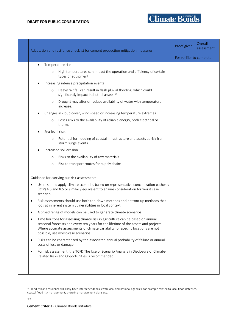|           | Adaptation and resilience checklist for cement production mitigation measures | Proof given                                                                                                                                                                                                                                                                                      | Overall<br>assessment    |  |
|-----------|-------------------------------------------------------------------------------|--------------------------------------------------------------------------------------------------------------------------------------------------------------------------------------------------------------------------------------------------------------------------------------------------|--------------------------|--|
|           |                                                                               |                                                                                                                                                                                                                                                                                                  | For verifier to complete |  |
| $\bullet$ |                                                                               | Temperature rise                                                                                                                                                                                                                                                                                 |                          |  |
|           | $\circ$                                                                       | High temperatures can impact the operation and efficiency of certain<br>types of equipment.                                                                                                                                                                                                      |                          |  |
|           |                                                                               | Increasing intense precipitation events                                                                                                                                                                                                                                                          |                          |  |
|           | $\circ$                                                                       | Heavy rainfall can result in flash pluvial flooding, which could<br>significantly impact industrial assets. <sup>14</sup>                                                                                                                                                                        |                          |  |
|           | $\circ$                                                                       | Drought may alter or reduce availability of water with temperature<br>increase.                                                                                                                                                                                                                  |                          |  |
|           |                                                                               | Changes in cloud cover, wind speed or increasing temperature extremes                                                                                                                                                                                                                            |                          |  |
|           | $\circ$                                                                       | Poses risks to the availability of reliable energy, both electrical or<br>thermal.                                                                                                                                                                                                               |                          |  |
|           | Sea-level rises                                                               |                                                                                                                                                                                                                                                                                                  |                          |  |
|           | $\circ$                                                                       | Potential for flooding of coastal infrastructure and assets at risk from<br>storm surge events.                                                                                                                                                                                                  |                          |  |
|           |                                                                               | Increased soil erosion                                                                                                                                                                                                                                                                           |                          |  |
|           | $\circ$                                                                       | Risks to the availability of raw materials.                                                                                                                                                                                                                                                      |                          |  |
|           | $\circ$                                                                       | Risk to transport routes for supply chains.                                                                                                                                                                                                                                                      |                          |  |
|           |                                                                               | Guidance for carrying out risk assessments:                                                                                                                                                                                                                                                      |                          |  |
| $\bullet$ | scenario.                                                                     | Users should apply climate scenarios based on representative concentration pathway<br>(RCP) 4.5 and 8.5 or similar / equivalent to ensure consideration for worst case                                                                                                                           |                          |  |
| $\bullet$ |                                                                               | Risk assessments should use both top-down methods and bottom-up methods that<br>look at inherent system vulnerabilities in local context.                                                                                                                                                        |                          |  |
|           |                                                                               | A broad range of models can be used to generate climate scenarios                                                                                                                                                                                                                                |                          |  |
| $\bullet$ |                                                                               | Time horizons for assessing climate risk in agriculture can be based on annual<br>seasonal forecasts and every ten years for the lifetime of the assets and projects.<br>Where accurate assessments of climate variability for specific locations are not<br>possible, use worst-case scenarios. |                          |  |
| $\bullet$ |                                                                               | Risks can be characterized by the associated annual probability of failure or annual<br>costs of loss or damage.                                                                                                                                                                                 |                          |  |
| $\bullet$ |                                                                               | For risk assessment, the TCFD The Use of Scenario Analysis in Disclosure of Climate-<br>Related Risks and Opportunities is recommended.                                                                                                                                                          |                          |  |
|           |                                                                               |                                                                                                                                                                                                                                                                                                  |                          |  |

<sup>&</sup>lt;sup>14</sup> Flood risk and resilience will likely have interdependencies with local and national agencies, for example related to local flood defenses, coastal flood risk management, shoreline management plans etc.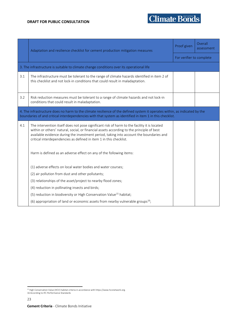|     | Adaptation and resilience checklist for cement production mitigation measures                                                                                                                                                                                                                                                                              | Proof given | Overall<br>assessment    |
|-----|------------------------------------------------------------------------------------------------------------------------------------------------------------------------------------------------------------------------------------------------------------------------------------------------------------------------------------------------------------|-------------|--------------------------|
|     |                                                                                                                                                                                                                                                                                                                                                            |             | For verifier to complete |
|     | 3. The infrastructure is suitable to climate change conditions over its operational life                                                                                                                                                                                                                                                                   |             |                          |
| 3.1 | The infrastructure must be tolerant to the range of climate hazards identified in item 2 of<br>this checklist and not lock-in conditions that could result in maladaptation.                                                                                                                                                                               |             |                          |
| 3.2 | Risk reduction measures must be tolerant to a range of climate hazards and not lock-in<br>conditions that could result in maladaptation.                                                                                                                                                                                                                   |             |                          |
|     | 4. The infrastructure does no harm to the climate resilience of the defined system it operates within, as indicated by the<br>boundaries of and critical interdependencies with that system as identified in item 1 in this checklist.                                                                                                                     |             |                          |
| 4.1 | The intervention itself does not pose significant risk of harm to the facility it is located<br>within or others' natural, social, or financial assets according to the principle of best<br>available evidence during the investment period, taking into account the boundaries and<br>critical interdependencies as defined in item 1 in this checklist. |             |                          |
|     | Harm is defined as an adverse effect on any of the following items:                                                                                                                                                                                                                                                                                        |             |                          |
|     | (1) adverse effects on local water bodies and water courses;                                                                                                                                                                                                                                                                                               |             |                          |
|     | (2) air pollution from dust and other pollutants;                                                                                                                                                                                                                                                                                                          |             |                          |
|     | (3) relationships of the asset/project to nearby flood zones;                                                                                                                                                                                                                                                                                              |             |                          |
|     | (4) reduction in pollinating insects and birds;                                                                                                                                                                                                                                                                                                            |             |                          |
|     | (5) reduction in biodiversity or High Conservation Value <sup>15</sup> habitat;                                                                                                                                                                                                                                                                            |             |                          |
|     | (6) appropriation of land or economic assets from nearby vulnerable groups <sup>16</sup> ;                                                                                                                                                                                                                                                                 |             |                          |

<sup>&</sup>lt;sup>15</sup> High Conservation Value (HCV) habitat criteria in accordance with https://www.hcvnetwork.org.<br>16 According to IFC Performance Standards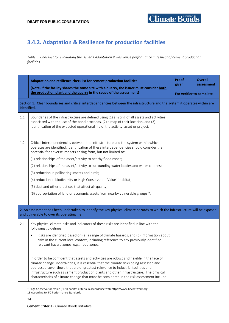## <span id="page-25-0"></span>**3.4.2. Adaptation & Resilience for production facilities**

*Table 5: Checklist for evaluating the issuer's Adaptation & Resilience performance in respect of cement production facilities*

|             | Adaptation and resilience checklist for cement production facilities<br>(Note, if the facility shares the same site with a quarry, the issuer must consider both                                                                                                                                                                                                                                                                                                  | Proof<br>given | <b>Overall</b><br>assessment |  |
|-------------|-------------------------------------------------------------------------------------------------------------------------------------------------------------------------------------------------------------------------------------------------------------------------------------------------------------------------------------------------------------------------------------------------------------------------------------------------------------------|----------------|------------------------------|--|
|             | the production plant and the quarry in the scope of the assessment)                                                                                                                                                                                                                                                                                                                                                                                               |                | For verifier to complete     |  |
| identified. | Section 1: Clear boundaries and critical interdependencies between the infrastructure and the system it operates within are                                                                                                                                                                                                                                                                                                                                       |                |                              |  |
| 1.1         | Boundaries of the infrastructure are defined using (1) a listing of all assets and activities<br>associated with the use of the bond proceeds, (2) a map of their location, and (3)<br>identification of the expected operational life of the activity, asset or project.                                                                                                                                                                                         |                |                              |  |
| 1.2         | Critical interdependencies between the infrastructure and the system within which it<br>operates are identified. Identification of these interdependencies should consider the<br>potential for adverse impacts arising from, but not limited to:                                                                                                                                                                                                                 |                |                              |  |
|             | (1) relationships of the asset/activity to nearby flood zones;                                                                                                                                                                                                                                                                                                                                                                                                    |                |                              |  |
|             | (2) relationships of the asset/activity to surrounding water bodies and water courses;                                                                                                                                                                                                                                                                                                                                                                            |                |                              |  |
|             | (3) reduction in pollinating insects and birds;                                                                                                                                                                                                                                                                                                                                                                                                                   |                |                              |  |
|             | (4) reduction in biodiversity or High Conservation Value <sup>17</sup> habitat;                                                                                                                                                                                                                                                                                                                                                                                   |                |                              |  |
|             | (5) dust and other practices that affect air quality;                                                                                                                                                                                                                                                                                                                                                                                                             |                |                              |  |
|             | (6) appropriation of land or economic assets from nearby vulnerable groups <sup>18</sup> ;                                                                                                                                                                                                                                                                                                                                                                        |                |                              |  |
|             |                                                                                                                                                                                                                                                                                                                                                                                                                                                                   |                |                              |  |
|             | 2. An assessment has been undertaken to identify the key physical climate hazards to which the infrastructure will be exposed<br>and vulnerable to over its operating life.                                                                                                                                                                                                                                                                                       |                |                              |  |
| 2.1         | Key physical climate risks and indicators of these risks are identified in line with the<br>following guidelines:                                                                                                                                                                                                                                                                                                                                                 |                |                              |  |
|             | Risks are identified based on (a) a range of climate hazards, and (b) information about<br>$\bullet$<br>risks in the current local context, including reference to any previously identified<br>relevant hazard zones, e.g., flood zones.                                                                                                                                                                                                                         |                |                              |  |
|             | In order to be confident that assets and activities are robust and flexible in the face of<br>climate change uncertainties, it is essential that the climate risks being assessed and<br>addressed cover those that are of greatest relevance to industrial facilities and<br>infrastructure such as cement production plants and other infrastructure. The physical<br>characteristics of climate change that must be considered in the risk assessment include: |                |                              |  |

<sup>17</sup> High Conservation Value (HCV) habitat criteria in accordance with https://www.hcvnetwork.org. 18 According to IFC Performance Standards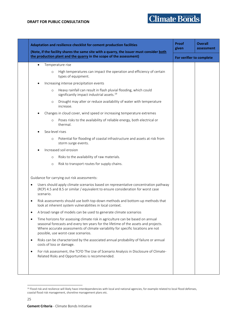

| Adaptation and resilience checklist for cement production facilities |                                                                                                                                                                                                                                                                                                  | Proof<br>given           | <b>Overall</b><br>assessment |
|----------------------------------------------------------------------|--------------------------------------------------------------------------------------------------------------------------------------------------------------------------------------------------------------------------------------------------------------------------------------------------|--------------------------|------------------------------|
|                                                                      | (Note, if the facility shares the same site with a quarry, the issuer must consider both<br>the production plant and the quarry in the scope of the assessment)                                                                                                                                  | For verifier to complete |                              |
| $\bullet$                                                            | Temperature rise                                                                                                                                                                                                                                                                                 |                          |                              |
| $\circ$                                                              | High temperatures can impact the operation and efficiency of certain<br>types of equipment.                                                                                                                                                                                                      |                          |                              |
|                                                                      | Increasing intense precipitation events                                                                                                                                                                                                                                                          |                          |                              |
| $\circ$                                                              | Heavy rainfall can result in flash pluvial flooding, which could<br>significantly impact industrial assets. <sup>19</sup>                                                                                                                                                                        |                          |                              |
| O                                                                    | Drought may alter or reduce availability of water with temperature<br>increase.                                                                                                                                                                                                                  |                          |                              |
|                                                                      | Changes in cloud cover, wind speed or increasing temperature extremes                                                                                                                                                                                                                            |                          |                              |
| $\circ$                                                              | Poses risks to the availability of reliable energy, both electrical or<br>thermal.                                                                                                                                                                                                               |                          |                              |
|                                                                      | Sea-level rises                                                                                                                                                                                                                                                                                  |                          |                              |
| $\circ$                                                              | Potential for flooding of coastal infrastructure and assets at risk from<br>storm surge events.                                                                                                                                                                                                  |                          |                              |
|                                                                      | Increased soil erosion                                                                                                                                                                                                                                                                           |                          |                              |
| $\circ$                                                              | Risks to the availability of raw materials.                                                                                                                                                                                                                                                      |                          |                              |
| $\circ$                                                              | Risk to transport routes for supply chains.                                                                                                                                                                                                                                                      |                          |                              |
|                                                                      | Guidance for carrying out risk assessments:                                                                                                                                                                                                                                                      |                          |                              |
| $\bullet$<br>scenario.                                               | Users should apply climate scenarios based on representative concentration pathway<br>(RCP) 4.5 and 8.5 or similar / equivalent to ensure consideration for worst case                                                                                                                           |                          |                              |
| $\bullet$                                                            | Risk assessments should use both top-down methods and bottom-up methods that<br>look at inherent system vulnerabilities in local context.                                                                                                                                                        |                          |                              |
|                                                                      | A broad range of models can be used to generate climate scenarios                                                                                                                                                                                                                                |                          |                              |
| $\bullet$                                                            | Time horizons for assessing climate risk in agriculture can be based on annual<br>seasonal forecasts and every ten years for the lifetime of the assets and projects.<br>Where accurate assessments of climate variability for specific locations are not<br>possible, use worst-case scenarios. |                          |                              |
| ٠                                                                    | Risks can be characterized by the associated annual probability of failure or annual<br>costs of loss or damage.                                                                                                                                                                                 |                          |                              |
| ٠                                                                    | For risk assessment, the TCFD The Use of Scenario Analysis in Disclosure of Climate-<br>Related Risks and Opportunities is recommended.                                                                                                                                                          |                          |                              |
|                                                                      |                                                                                                                                                                                                                                                                                                  |                          |                              |

<sup>&</sup>lt;sup>19</sup> Flood risk and resilience will likely have interdependencies with local and national agencies, for example related to local flood defenses, coastal flood risk management, shoreline management plans etc.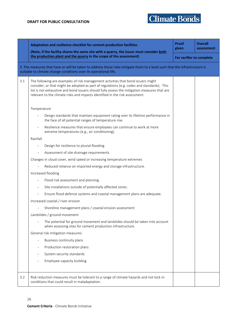|                                                                                                                                                                                                |                          | Adaptation and resilience checklist for cement production facilities<br>(Note, if the facility shares the same site with a quarry, the issuer must consider both                                                                                                                                                                                               | Proof<br>given           | <b>Overall</b><br>assessment |
|------------------------------------------------------------------------------------------------------------------------------------------------------------------------------------------------|--------------------------|----------------------------------------------------------------------------------------------------------------------------------------------------------------------------------------------------------------------------------------------------------------------------------------------------------------------------------------------------------------|--------------------------|------------------------------|
|                                                                                                                                                                                                |                          | the production plant and the quarry in the scope of the assessment)                                                                                                                                                                                                                                                                                            | For verifier to complete |                              |
| 3. The measures that have or will be taken to address those risks mitigate them to a level such that the infrastructure is<br>suitable to climate change conditions over its operational life. |                          |                                                                                                                                                                                                                                                                                                                                                                |                          |                              |
| 3.1                                                                                                                                                                                            |                          | The following are examples of risk management activities that bond issuers might<br>consider, or that might be adopted as part of regulations (e.g. codes and standards). This<br>list is not exhaustive and bond issuers should fully assess the mitigation measures that are<br>relevant to the climate risks and impacts identified in the risk assessment. |                          |                              |
|                                                                                                                                                                                                | Temperature              |                                                                                                                                                                                                                                                                                                                                                                |                          |                              |
|                                                                                                                                                                                                |                          | Design standards that maintain equipment rating over its lifetime performance in<br>the face of all potential ranges of temperature rise.                                                                                                                                                                                                                      |                          |                              |
|                                                                                                                                                                                                |                          | Resilience measures that ensure employees can continue to work at more<br>extreme temperatures (e.g., air conditioning).                                                                                                                                                                                                                                       |                          |                              |
|                                                                                                                                                                                                | Rainfall                 |                                                                                                                                                                                                                                                                                                                                                                |                          |                              |
|                                                                                                                                                                                                |                          | Design for resilience to pluvial flooding.                                                                                                                                                                                                                                                                                                                     |                          |                              |
|                                                                                                                                                                                                |                          | Assessment of site drainage requirements.                                                                                                                                                                                                                                                                                                                      |                          |                              |
|                                                                                                                                                                                                |                          | Changes in cloud cover, wind speed or increasing temperature extremes                                                                                                                                                                                                                                                                                          |                          |                              |
|                                                                                                                                                                                                |                          | Reduced reliance on imported energy and storage infrastructure.                                                                                                                                                                                                                                                                                                |                          |                              |
|                                                                                                                                                                                                |                          | Increased flooding                                                                                                                                                                                                                                                                                                                                             |                          |                              |
|                                                                                                                                                                                                | $\overline{\phantom{a}}$ | Flood risk assessment and planning.                                                                                                                                                                                                                                                                                                                            |                          |                              |
|                                                                                                                                                                                                |                          | Site installations outside of potentially affected zones.                                                                                                                                                                                                                                                                                                      |                          |                              |
|                                                                                                                                                                                                |                          | Ensure flood defence systems and coastal management plans are adequate.                                                                                                                                                                                                                                                                                        |                          |                              |
|                                                                                                                                                                                                |                          | Increased coastal / river erosion                                                                                                                                                                                                                                                                                                                              |                          |                              |
|                                                                                                                                                                                                |                          | Shoreline management plans / coastal erosion assessment                                                                                                                                                                                                                                                                                                        |                          |                              |
|                                                                                                                                                                                                |                          | Landslides / ground movement                                                                                                                                                                                                                                                                                                                                   |                          |                              |
|                                                                                                                                                                                                |                          | The potential for ground movement and landslides should be taken into account<br>when assessing sites for cement production infrastructure.                                                                                                                                                                                                                    |                          |                              |
|                                                                                                                                                                                                |                          | General risk mitigation measures:                                                                                                                                                                                                                                                                                                                              |                          |                              |
|                                                                                                                                                                                                |                          | Business continuity plans                                                                                                                                                                                                                                                                                                                                      |                          |                              |
|                                                                                                                                                                                                |                          | Production restoration plans                                                                                                                                                                                                                                                                                                                                   |                          |                              |
|                                                                                                                                                                                                |                          | System security standards                                                                                                                                                                                                                                                                                                                                      |                          |                              |
|                                                                                                                                                                                                |                          | Employee capacity building                                                                                                                                                                                                                                                                                                                                     |                          |                              |
| 3.2                                                                                                                                                                                            |                          | Risk reduction measures must be tolerant to a range of climate hazards and not lock-in<br>conditions that could result in maladaptation.                                                                                                                                                                                                                       |                          |                              |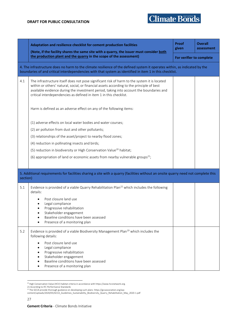|                                                                                                                                                | Adaptation and resilience checklist for cement production facilities<br>(Note, if the facility shares the same site with a quarry, the issuer must consider both                                                                                                                                                                                           | Proof<br>given           | <b>Overall</b><br>assessment |  |  |  |
|------------------------------------------------------------------------------------------------------------------------------------------------|------------------------------------------------------------------------------------------------------------------------------------------------------------------------------------------------------------------------------------------------------------------------------------------------------------------------------------------------------------|--------------------------|------------------------------|--|--|--|
|                                                                                                                                                | the production plant and the quarry in the scope of the assessment)                                                                                                                                                                                                                                                                                        | For verifier to complete |                              |  |  |  |
|                                                                                                                                                | 4. The infrastructure does no harm to the climate resilience of the defined system it operates within, as indicated by the<br>boundaries of and critical interdependencies with that system as identified in item 1 in this checklist.                                                                                                                     |                          |                              |  |  |  |
| 4.1                                                                                                                                            | The infrastructure itself does not pose significant risk of harm to the system it is located<br>within or others' natural, social, or financial assets according to the principle of best<br>available evidence during the investment period, taking into account the boundaries and<br>critical interdependencies as defined in item 1 in this checklist. |                          |                              |  |  |  |
|                                                                                                                                                | Harm is defined as an adverse effect on any of the following items:                                                                                                                                                                                                                                                                                        |                          |                              |  |  |  |
|                                                                                                                                                | (1) adverse effects on local water bodies and water courses;                                                                                                                                                                                                                                                                                               |                          |                              |  |  |  |
|                                                                                                                                                | (2) air pollution from dust and other pollutants;                                                                                                                                                                                                                                                                                                          |                          |                              |  |  |  |
|                                                                                                                                                | (3) relationships of the asset/project to nearby flood zones;                                                                                                                                                                                                                                                                                              |                          |                              |  |  |  |
|                                                                                                                                                | (4) reduction in pollinating insects and birds;                                                                                                                                                                                                                                                                                                            |                          |                              |  |  |  |
|                                                                                                                                                | (5) reduction in biodiversity or High Conservation Value <sup>20</sup> habitat;                                                                                                                                                                                                                                                                            |                          |                              |  |  |  |
|                                                                                                                                                | (6) appropriation of land or economic assets from nearby vulnerable groups <sup>21</sup> ;                                                                                                                                                                                                                                                                 |                          |                              |  |  |  |
|                                                                                                                                                |                                                                                                                                                                                                                                                                                                                                                            |                          |                              |  |  |  |
| 5. Additional requirements for facilities sharing a site with a quarry (facilities without an onsite quarry need not complete this<br>section) |                                                                                                                                                                                                                                                                                                                                                            |                          |                              |  |  |  |
| 5.1                                                                                                                                            | Evidence is provided of a viable Quarry Rehabilitation Plan <sup>22</sup> which includes the following<br>details:                                                                                                                                                                                                                                         |                          |                              |  |  |  |
|                                                                                                                                                | Post closure land use                                                                                                                                                                                                                                                                                                                                      |                          |                              |  |  |  |
|                                                                                                                                                | Legal compliance<br>$\bullet$<br>Progressive rehabilitation<br>$\bullet$                                                                                                                                                                                                                                                                                   |                          |                              |  |  |  |
|                                                                                                                                                | Stakeholder engagement<br>Baseline conditions have been assessed                                                                                                                                                                                                                                                                                           |                          |                              |  |  |  |
|                                                                                                                                                | Presence of a monitoring plan                                                                                                                                                                                                                                                                                                                              |                          |                              |  |  |  |
| 5.2                                                                                                                                            | Evidence is provided of a viable Biodiversity Management Plan <sup>19</sup> which includes the<br>following details:                                                                                                                                                                                                                                       |                          |                              |  |  |  |
|                                                                                                                                                | Post closure land use                                                                                                                                                                                                                                                                                                                                      |                          |                              |  |  |  |
|                                                                                                                                                | Legal compliance<br>Progressive rehabilitation                                                                                                                                                                                                                                                                                                             |                          |                              |  |  |  |
|                                                                                                                                                | Stakeholder engagement                                                                                                                                                                                                                                                                                                                                     |                          |                              |  |  |  |
|                                                                                                                                                | Baseline conditions have been assessed<br>Presence of a monitoring plan                                                                                                                                                                                                                                                                                    |                          |                              |  |  |  |
|                                                                                                                                                |                                                                                                                                                                                                                                                                                                                                                            |                          |                              |  |  |  |

 $^{20}$  High Conservation Value (HCV) habitat criteria in accordance with https://www.hcvnetwork.org.

<sup>21</sup> According to IFC Performance Standards<br><sup>22</sup> The GCCA provide thorough guidance on developing such plans: https://gccassociation.org/wp-<br>content/uploads/2020/05/GCCA\_Guidelines\_Sustainability\_Biodiversity\_Quarry\_Rehabili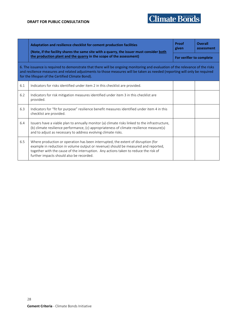|                                                                                                                                                                                                                                                                                                                 | Adaptation and resilience checklist for cement production facilities<br>(Note, if the facility shares the same site with a quarry, the issuer must consider both<br>the production plant and the quarry in the scope of the assessment)                                                                     |  | <b>Overall</b><br>assessment |  |  |  |
|-----------------------------------------------------------------------------------------------------------------------------------------------------------------------------------------------------------------------------------------------------------------------------------------------------------------|-------------------------------------------------------------------------------------------------------------------------------------------------------------------------------------------------------------------------------------------------------------------------------------------------------------|--|------------------------------|--|--|--|
|                                                                                                                                                                                                                                                                                                                 |                                                                                                                                                                                                                                                                                                             |  | For verifier to complete     |  |  |  |
| 6. The issuance is required to demonstrate that there will be ongoing monitoring and evaluation of the relevance of the risks<br>and resilience measures and related adjustments to those measures will be taken as needed (reporting will only be required<br>for the lifespan of the Certified Climate Bond). |                                                                                                                                                                                                                                                                                                             |  |                              |  |  |  |
| 6.1                                                                                                                                                                                                                                                                                                             | Indicators for risks identified under item 2 in this checklist are provided.                                                                                                                                                                                                                                |  |                              |  |  |  |
| 6.2                                                                                                                                                                                                                                                                                                             | Indicators for risk mitigation measures identified under item 3 in this checklist are<br>provided.                                                                                                                                                                                                          |  |                              |  |  |  |
| 6.3                                                                                                                                                                                                                                                                                                             | Indicators for "fit for purpose" resilience benefit measures identified under item 4 in this<br>checklist are provided.                                                                                                                                                                                     |  |                              |  |  |  |
| 6.4                                                                                                                                                                                                                                                                                                             | Issuers have a viable plan to annually monitor (a) climate risks linked to the infrastructure,<br>(b) climate resilience performance, (c) appropriateness of climate resilience measure(s)<br>and to adjust as necessary to address evolving climate risks.                                                 |  |                              |  |  |  |
| 6.5                                                                                                                                                                                                                                                                                                             | Where production or operation has been interrupted, the extent of disruption (for<br>example in reduction in volume output or revenue) should be measured and reported,<br>together with the cause of the interruption. Any actions taken to reduce the risk of<br>further impacts should also be recorded. |  |                              |  |  |  |